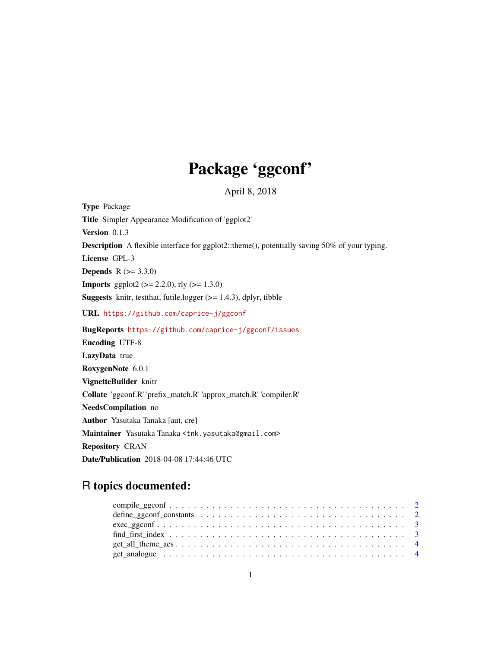## Package 'ggconf'

April 8, 2018

Type Package Title Simpler Appearance Modification of 'ggplot2' Version 0.1.3 Description A flexible interface for ggplot2::theme(), potentially saving 50% of your typing. License GPL-3 **Depends**  $R (= 3.3.0)$ **Imports** ggplot2 ( $>= 2.2.0$ ), rly ( $>= 1.3.0$ ) **Suggests** knitr, test that, futile.logger  $(>= 1.4.3)$ , dplyr, tibble URL <https://github.com/caprice-j/ggconf> BugReports <https://github.com/caprice-j/ggconf/issues> Encoding UTF-8 LazyData true RoxygenNote 6.0.1 VignetteBuilder knitr Collate 'ggconf.R' 'prefix\_match.R' 'approx\_match.R' 'compiler.R' NeedsCompilation no Author Yasutaka Tanaka [aut, cre] Maintainer Yasutaka Tanaka <tnk.yasutaka@gmail.com> Repository CRAN

Date/Publication 2018-04-08 17:44:46 UTC

### R topics documented: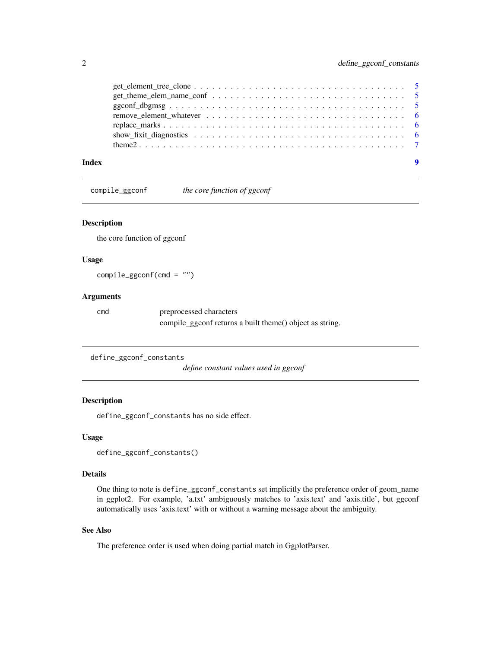<span id="page-1-0"></span>

| Index |  |
|-------|--|

compile\_ggconf *the core function of ggconf*

#### Description

the core function of ggconf

#### Usage

compile\_ggconf(cmd = "")

#### Arguments

cmd preprocessed characters compile\_ggconf returns a built theme() object as string.

```
define_ggconf_constants
```
*define constant values used in ggconf*

#### Description

define\_ggconf\_constants has no side effect.

#### Usage

```
define_ggconf_constants()
```
#### Details

One thing to note is define\_ggconf\_constants set implicitly the preference order of geom\_name in ggplot2. For example, 'a.txt' ambiguously matches to 'axis.text' and 'axis.title', but ggconf automatically uses 'axis.text' with or without a warning message about the ambiguity.

#### See Also

The preference order is used when doing partial match in GgplotParser.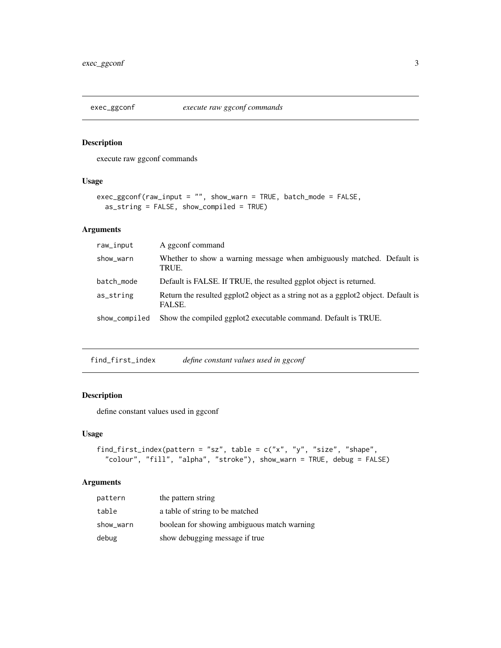<span id="page-2-0"></span>

#### Description

execute raw ggconf commands

#### Usage

```
exec_ggconf(raw_input = "", show_warn = TRUE, batch_mode = FALSE,
 as_string = FALSE, show_compiled = TRUE)
```
#### Arguments

| raw_input     | A ggconf command                                                                             |
|---------------|----------------------------------------------------------------------------------------------|
| show_warn     | Whether to show a warning message when ambiguously matched. Default is<br>TRUE.              |
| batch_mode    | Default is FALSE. If TRUE, the resulted ggplot object is returned.                           |
| as_string     | Return the resulted ggplot2 object as a string not as a ggplot2 object. Default is<br>FALSE. |
| show_compiled | Show the compiled ggplot2 executable command. Default is TRUE.                               |

find\_first\_index *define constant values used in ggconf*

#### Description

define constant values used in ggconf

#### Usage

```
find_first_index(pattern = "sz", table = c("x", "y", "size", "shape",
  "colour", "fill", "alpha", "stroke"), show_warn = TRUE, debug = FALSE)
```
#### Arguments

| pattern   | the pattern string                          |
|-----------|---------------------------------------------|
| table     | a table of string to be matched             |
| show_warn | boolean for showing ambiguous match warning |
| debug     | show debugging message if true              |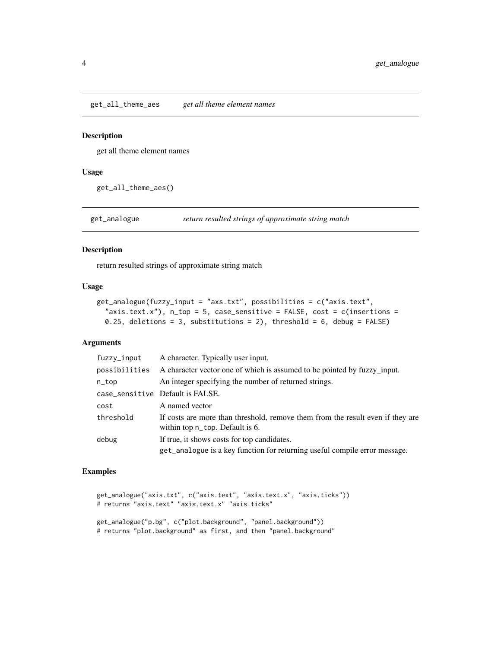<span id="page-3-0"></span>get\_all\_theme\_aes *get all theme element names*

#### Description

get all theme element names

#### Usage

get\_all\_theme\_aes()

get\_analogue *return resulted strings of approximate string match*

#### Description

return resulted strings of approximate string match

#### Usage

```
get_analogue(fuzzy_input = "axs.txt", possibilities = c("axis.text",
  "axis.text.x"), n_ttop = 5, case_sensitive = FALSE, cost = c(insertions =
 0.25, deletions = 3, substitutions = 2), threshold = 6, debug = FALSE)
```
#### Arguments

| fuzzy_input   | A character. Typically user input.                                                                                |
|---------------|-------------------------------------------------------------------------------------------------------------------|
| possibilities | A character vector one of which is assumed to be pointed by fuzzy_input.                                          |
| n_top         | An integer specifying the number of returned strings.                                                             |
|               | case_sensitive Default is FALSE.                                                                                  |
| cost          | A named vector                                                                                                    |
| threshold     | If costs are more than threshold, remove them from the result even if they are<br>within top n_top. Default is 6. |
| debug         | If true, it shows costs for top candidates.                                                                       |
|               | get_analogue is a key function for returning useful compile error message.                                        |

#### Examples

```
get_analogue("axis.txt", c("axis.text", "axis.text.x", "axis.ticks"))
# returns "axis.text" "axis.text.x" "axis.ticks"
```

```
get_analogue("p.bg", c("plot.background", "panel.background"))
# returns "plot.background" as first, and then "panel.background"
```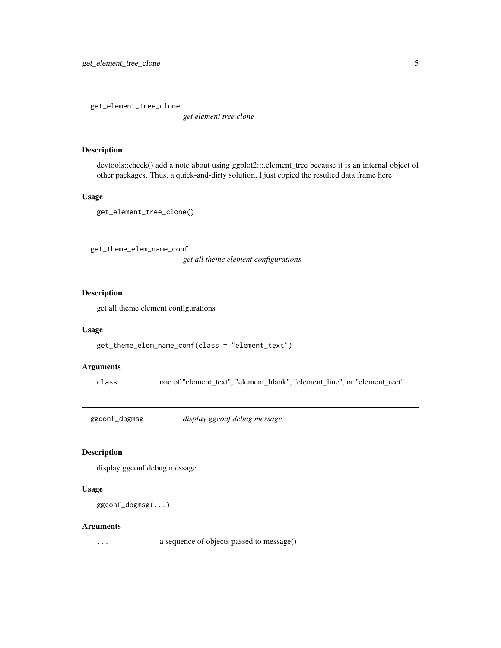<span id="page-4-0"></span>get\_element\_tree\_clone

*get element tree clone*

#### Description

devtools::check() add a note about using ggplot2:::.element\_tree because it is an internal object of other packages. Thus, a quick-and-dirty solution, I just copied the resulted data frame here.

#### Usage

get\_element\_tree\_clone()

get\_theme\_elem\_name\_conf

*get all theme element configurations*

#### Description

get all theme element configurations

#### Usage

```
get_theme_elem_name_conf(class = "element_text")
```
#### Arguments

class one of "element\_text", "element\_blank", "element\_line", or "element\_rect"

ggconf\_dbgmsg *display ggconf debug message*

#### Description

display ggconf debug message

#### Usage

```
ggconf_dbgmsg(...)
```
#### Arguments

... a sequence of objects passed to message()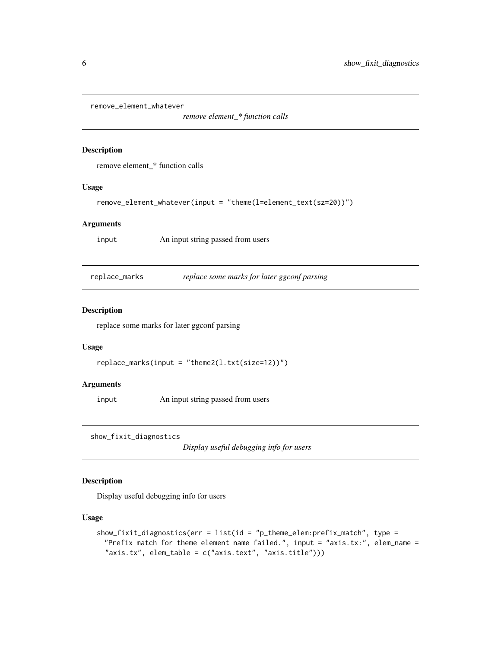<span id="page-5-0"></span>remove\_element\_whatever

*remove element\_\* function calls*

#### Description

remove element\_\* function calls

#### Usage

```
remove_element_whatever(input = "theme(l=element_text(sz=20))")
```
#### **Arguments**

input An input string passed from users

replace\_marks *replace some marks for later ggconf parsing*

#### Description

replace some marks for later ggconf parsing

#### Usage

```
replace_marks(input = "theme2(l.txt(size=12))")
```
#### Arguments

input An input string passed from users

show\_fixit\_diagnostics

*Display useful debugging info for users*

#### Description

Display useful debugging info for users

#### Usage

```
show_fixit_diagnostics(err = list(id = "p_theme_elem:prefix_match", type =
 "Prefix match for theme element name failed.", input = "axis.tx:", elem_name =
  "axis.tx", elem_table = c("axis.text", "axis.title")))
```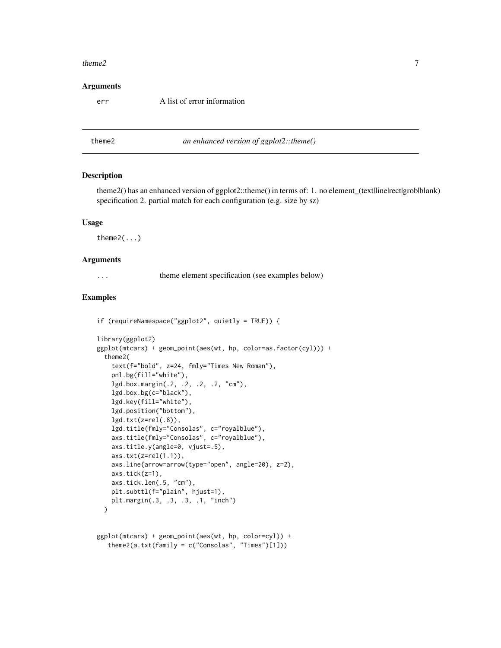#### <span id="page-6-0"></span>theme  $2$  7

#### Arguments

err A list of error information

theme2 *an enhanced version of ggplot2::theme()*

#### Description

theme2() has an enhanced version of ggplot2::theme() in terms of: 1. no element\_(text|line|rect|grob|blank) specification 2. partial match for each configuration (e.g. size by sz)

#### Usage

theme2(...)

library(ggplot2)

#### Arguments

... theme element specification (see examples below)

#### Examples

```
if (requireNamespace("ggplot2", quietly = TRUE)) {
```

```
ggplot(mtcars) + geom_point(aes(wt, hp, color=as.factor(cyl))) +
 theme2(
    text(f="bold", z=24, fmly="Times New Roman"),
   pnl.bg(fill="white"),
   lgd.box.margin(.2, .2, .2, .2, "cm"),
   lgd.box.bg(c="black"),
   lgd.key(fill="white"),
   lgd.position("bottom"),
   lgd.txt(z=rel(.8)),
   lgd.title(fmly="Consolas", c="royalblue"),
   axs.title(fmly="Consolas", c="royalblue"),
   axs.title.y(angle=0, vjust=.5),
   axis.txt(z=rel(1.1)),axs.line(arrow=arrow(type="open", angle=20), z=2),
   axs.tick(z=1),
   axs.tick.len(.5, "cm"),
   plt.subttl(f="plain", hjust=1),
   plt.margin(.3, .3, .3, .1, "inch")
 )
```

```
ggplot(mtcars) + geom_point(aes(wt, hp, color=cyl)) +
   theme2(a.txt(family = c("Consolas", "Times")[1]))
```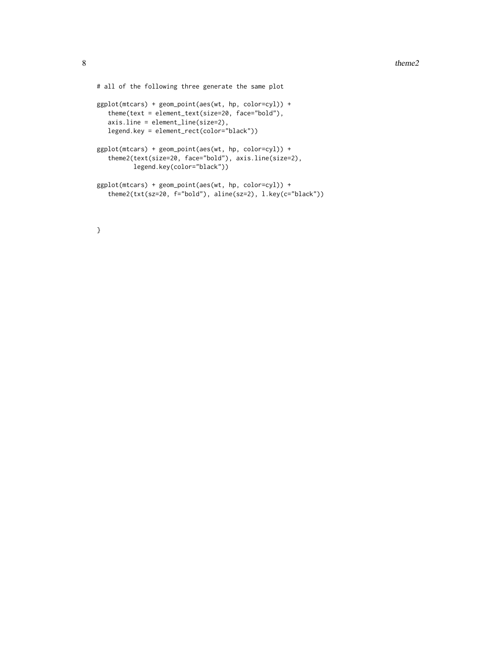```
# all of the following three generate the same plot
ggplot(mtcars) + geom_point(aes(wt, hp, color=cyl)) +
   theme(text = element_text(size=20, face="bold"),
  axis.line = element_line(size=2),
  legend.key = element_rect(color="black"))
ggplot(mtcars) + geom_point(aes(wt, hp, color=cyl)) +
   theme2(text(size=20, face="bold"), axis.line(size=2),
         legend.key(color="black"))
ggplot(mtcars) + geom_point(aes(wt, hp, color=cyl)) +
   theme2(txt(sz=20, f="bold"), aline(sz=2), l.key(c="black"))
```

```
}
```